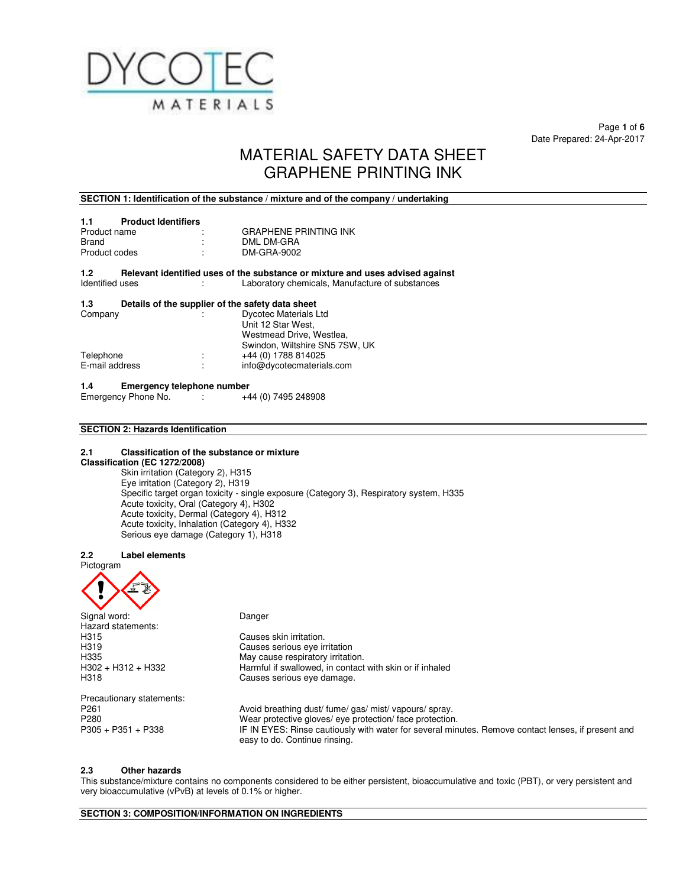

Page **1** of **6**  Date Prepared: 24-Apr-2017

# MATERIAL SAFETY DATA SHEET GRAPHENE PRINTING INK

### **SECTION 1: Identification of the substance / mixture and of the company / undertaking**

| <b>Product Identifiers</b><br>1.1 |                              |
|-----------------------------------|------------------------------|
| Product name                      | <b>GRAPHENE PRINTING INK</b> |
| Brand                             | DML DM-GRA                   |
| Product codes                     | DM-GRA-9002                  |

**1.2** Relevant identified uses of the substance or mixture and uses advised against ldentified uses Laboratory chemicals, Manufacture of substances Laboratory chemicals, Manufacture of substances

### **1.3 Details of the supplier of the safety data sheet**

| ÷ | <b>Dycotec Materials Ltd</b>   |
|---|--------------------------------|
|   | Unit 12 Star West,             |
|   | Westmead Drive, Westlea.       |
|   | Swindon, Wiltshire SN5 7SW, UK |
| ÷ | +44 (0) 1788 814025            |
| ٠ | info@dycotecmaterials.com      |
|   |                                |

**1.4 Emergency telephone number**  Emergency Phone No. :

# **SECTION 2: Hazards Identification**

### **2.1 Classification of the substance or mixture**

### **Classification (EC 1272/2008)**

Skin irritation (Category 2), H315 Eye irritation (Category 2), H319 Specific target organ toxicity - single exposure (Category 3), Respiratory system, H335 Acute toxicity, Oral (Category 4), H302 Acute toxicity, Dermal (Category 4), H312 Acute toxicity, Inhalation (Category 4), H332 Serious eye damage (Category 1), H318

### **2.2 Label elements**



Signal word: Danger Hazard statements: H315 Causes skin irritation.<br>H319 Causes serious eye ir H319 Causes serious eye irritation May cause respiratory irritation. H302 + H312 + H332 Harmful if swallowed, in contact with skin or if inhaled<br>H318 H318 Causes serious eye damage. Precautionary statements: P261 **Avoid breathing dust/ fume/ gas/ mist/ vapours/ spray.**<br>P280 **Audit Brand Convention Convention and Deap in Mean protective gloves/ eve protection/ face protection** P280 Wear protective gloves/ eye protection/ face protection.<br>P305 + P351 + P338 FIN EYES: Rinse cautiously with water for several min

# IF IN EYES: Rinse cautiously with water for several minutes. Remove contact lenses, if present and easy to do. Continue rinsing.

### **2.3 Other hazards**

This substance/mixture contains no components considered to be either persistent, bioaccumulative and toxic (PBT), or very persistent and very bioaccumulative (vPvB) at levels of 0.1% or higher.

**SECTION 3: COMPOSITION/INFORMATION ON INGREDIENTS**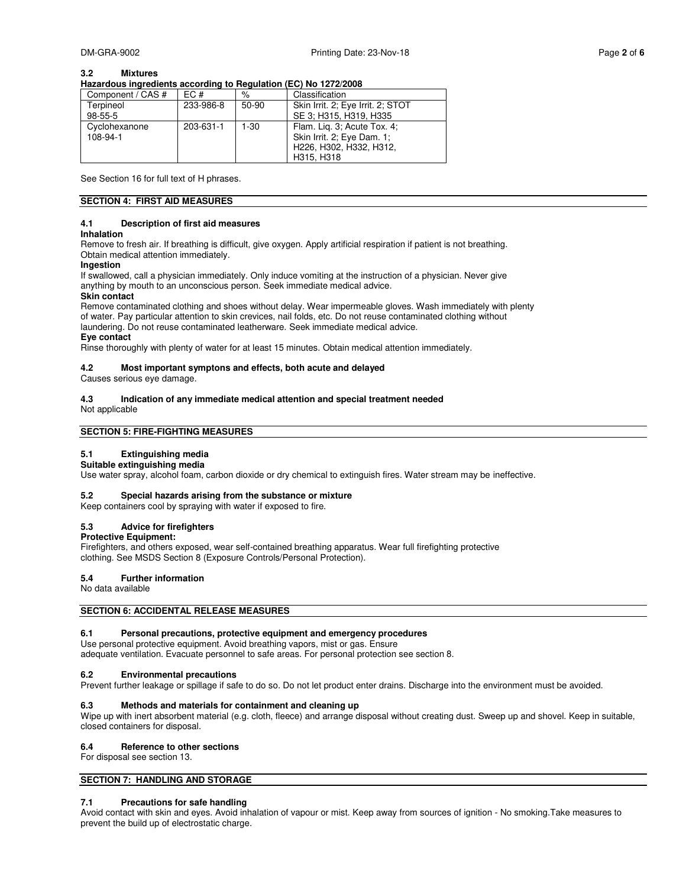### **3.2 Mixtures**

### **Hazardous ingredients according to Regulation (EC) No 1272/2008**

| Component / CAS # | EC #      | %        | Classification                    |
|-------------------|-----------|----------|-----------------------------------|
| Terpineol         | 233-986-8 | $50-90$  | Skin Irrit. 2; Eye Irrit. 2; STOT |
| $98 - 55 - 5$     |           |          | SE 3; H315, H319, H335            |
| Cyclohexanone     | 203-631-1 | $1 - 30$ | Flam. Lig. 3; Acute Tox. 4;       |
| 108-94-1          |           |          | Skin Irrit. 2; Eye Dam. 1;        |
|                   |           |          | H226, H302, H332, H312,           |
|                   |           |          | H315, H318                        |

See Section 16 for full text of H phrases.

### **SECTION 4: FIRST AID MEASURES**

### **4.1 Description of first aid measures**

### **Inhalation**

Remove to fresh air. If breathing is difficult, give oxygen. Apply artificial respiration if patient is not breathing. Obtain medical attention immediately.

### **Ingestion**

If swallowed, call a physician immediately. Only induce vomiting at the instruction of a physician. Never give anything by mouth to an unconscious person. Seek immediate medical advice.

### **Skin contact**

Remove contaminated clothing and shoes without delay. Wear impermeable gloves. Wash immediately with plenty of water. Pay particular attention to skin crevices, nail folds, etc. Do not reuse contaminated clothing without laundering. Do not reuse contaminated leatherware. Seek immediate medical advice. **Eye contact** 

Rinse thoroughly with plenty of water for at least 15 minutes. Obtain medical attention immediately.

### **4.2 Most important symptons and effects, both acute and delayed**

Causes serious eye damage.

### **4.3 Indication of any immediate medical attention and special treatment needed**

Not applicable

### **SECTION 5: FIRE-FIGHTING MEASURES**

### **5.1 Extinguishing media**

**Suitable extinguishing media** 

Use water spray, alcohol foam, carbon dioxide or dry chemical to extinguish fires. Water stream may be ineffective.

### **5.2 Special hazards arising from the substance or mixture**

Keep containers cool by spraying with water if exposed to fire.

### **5.3 Advice for firefighters**

### **Protective Equipment:**

Firefighters, and others exposed, wear self-contained breathing apparatus. Wear full firefighting protective clothing. See MSDS Section 8 (Exposure Controls/Personal Protection).

### **5.4 Further information**

No data available

### **SECTION 6: ACCIDENTAL RELEASE MEASURES**

## **6.1 Personal precautions, protective equipment and emergency procedures**

Use personal protective equipment. Avoid breathing vapors, mist or gas. Ensure adequate ventilation. Evacuate personnel to safe areas. For personal protection see section 8.

### **6.2 Environmental precautions**

Prevent further leakage or spillage if safe to do so. Do not let product enter drains. Discharge into the environment must be avoided.

### **6.3 Methods and materials for containment and cleaning up**

Wipe up with inert absorbent material (e.g. cloth, fleece) and arrange disposal without creating dust. Sweep up and shovel. Keep in suitable, closed containers for disposal.

### **6.4 Reference to other sections**

For disposal see section 13.

### **SECTION 7: HANDLING AND STORAGE**

### **7.1 Precautions for safe handling**

Avoid contact with skin and eyes. Avoid inhalation of vapour or mist. Keep away from sources of ignition - No smoking.Take measures to prevent the build up of electrostatic charge.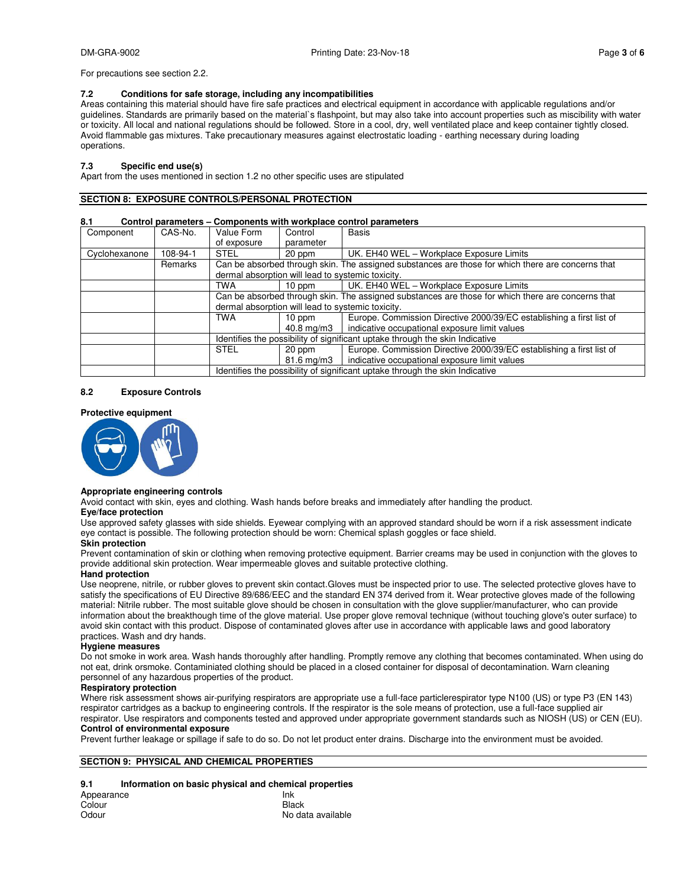For precautions see section 2.2.

### **7.2 Conditions for safe storage, including any incompatibilities**

Areas containing this material should have fire safe practices and electrical equipment in accordance with applicable regulations and/or guidelines. Standards are primarily based on the material`s flashpoint, but may also take into account properties such as miscibility with water or toxicity. All local and national regulations should be followed. Store in a cool, dry, well ventilated place and keep container tightly closed. Avoid flammable gas mixtures. Take precautionary measures against electrostatic loading - earthing necessary during loading operations.

### **7.3 Specific end use(s)**

Apart from the uses mentioned in section 1.2 no other specific uses are stipulated

### **SECTION 8: EXPOSURE CONTROLS/PERSONAL PROTECTION**

### **8.1 Control parameters – Components with workplace control parameters**

| Component     | CAS-No.  | Value Form                                                                                        | Control                                            | <b>Basis</b>                                                                                      |  |  |  |
|---------------|----------|---------------------------------------------------------------------------------------------------|----------------------------------------------------|---------------------------------------------------------------------------------------------------|--|--|--|
|               |          | of exposure                                                                                       | parameter                                          |                                                                                                   |  |  |  |
| Cyclohexanone | 108-94-1 | <b>STEL</b>                                                                                       | 20 ppm                                             | UK. EH40 WEL - Workplace Exposure Limits                                                          |  |  |  |
|               | Remarks  |                                                                                                   |                                                    | Can be absorbed through skin. The assigned substances are those for which there are concerns that |  |  |  |
|               |          | dermal absorption will lead to systemic toxicity.                                                 |                                                    |                                                                                                   |  |  |  |
|               |          | <b>TWA</b>                                                                                        | UK. EH40 WEL - Workplace Exposure Limits<br>10 ppm |                                                                                                   |  |  |  |
|               |          | Can be absorbed through skin. The assigned substances are those for which there are concerns that |                                                    |                                                                                                   |  |  |  |
|               |          | dermal absorption will lead to systemic toxicity.                                                 |                                                    |                                                                                                   |  |  |  |
|               |          | <b>TWA</b>                                                                                        | 10 ppm                                             | Europe. Commission Directive 2000/39/EC establishing a first list of                              |  |  |  |
|               |          |                                                                                                   | 40.8 mg/m3                                         | indicative occupational exposure limit values                                                     |  |  |  |
|               |          | Identifies the possibility of significant uptake through the skin Indicative                      |                                                    |                                                                                                   |  |  |  |
|               |          | <b>STEL</b>                                                                                       | 20 ppm                                             | Europe. Commission Directive 2000/39/EC establishing a first list of                              |  |  |  |
|               |          |                                                                                                   | 81.6 mg/m3                                         | indicative occupational exposure limit values                                                     |  |  |  |
|               |          | Identifies the possibility of significant uptake through the skin Indicative                      |                                                    |                                                                                                   |  |  |  |

### **8.2 Exposure Controls**

### **Protective equipment**



### **Appropriate engineering controls**

Avoid contact with skin, eyes and clothing. Wash hands before breaks and immediately after handling the product.

### **Eye/face protection**

Use approved safety glasses with side shields. Eyewear complying with an approved standard should be worn if a risk assessment indicate eye contact is possible. The following protection should be worn: Chemical splash goggles or face shield.

### **Skin protection**

Prevent contamination of skin or clothing when removing protective equipment. Barrier creams may be used in conjunction with the gloves to provide additional skin protection. Wear impermeable gloves and suitable protective clothing.

### **Hand protection**

Use neoprene, nitrile, or rubber gloves to prevent skin contact.Gloves must be inspected prior to use. The selected protective gloves have to satisfy the specifications of EU Directive 89/686/EEC and the standard EN 374 derived from it. Wear protective gloves made of the following material: Nitrile rubber. The most suitable glove should be chosen in consultation with the glove supplier/manufacturer, who can provide information about the breakthough time of the glove material. Use proper glove removal technique (without touching glove's outer surface) to avoid skin contact with this product. Dispose of contaminated gloves after use in accordance with applicable laws and good laboratory practices. Wash and dry hands.

### **Hygiene measures**

Do not smoke in work area. Wash hands thoroughly after handling. Promptly remove any clothing that becomes contaminated. When using do not eat, drink orsmoke. Contaminiated clothing should be placed in a closed container for disposal of decontamination. Warn cleaning personnel of any hazardous properties of the product.

### **Respiratory protection**

Where risk assessment shows air-purifying respirators are appropriate use a full-face particlerespirator type N100 (US) or type P3 (EN 143) respirator cartridges as a backup to engineering controls. If the respirator is the sole means of protection, use a full-face supplied air respirator. Use respirators and components tested and approved under appropriate government standards such as NIOSH (US) or CEN (EU). **Control of environmental exposure** 

Prevent further leakage or spillage if safe to do so. Do not let product enter drains. Discharge into the environment must be avoided.

### **SECTION 9: PHYSICAL AND CHEMICAL PROPERTIES**

### **9.1 Information on basic physical and chemical properties**

| Appearance | Ink               |
|------------|-------------------|
| Colour     | Black             |
| Odour      | No data available |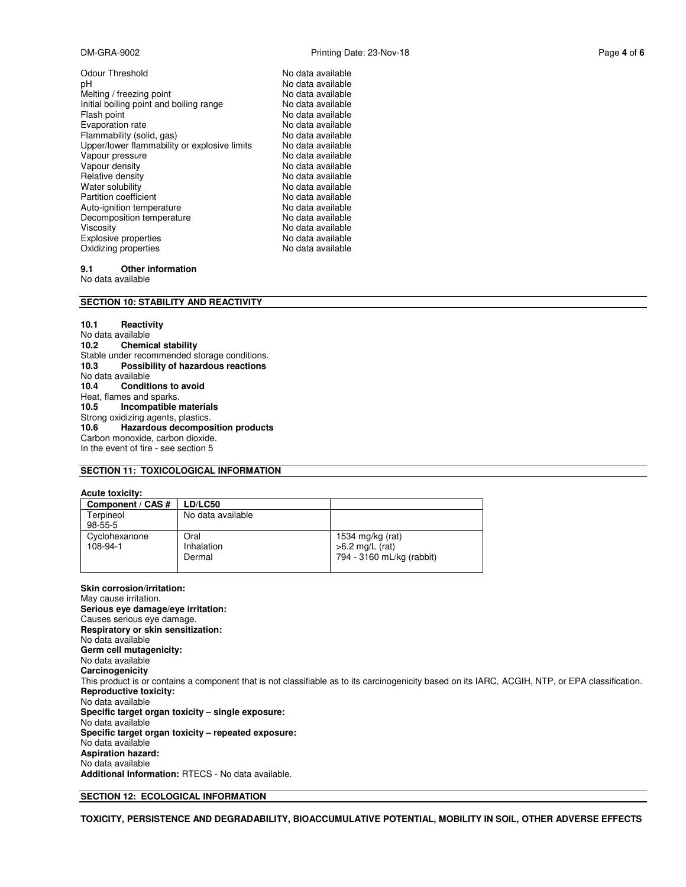Odour Threshold No data available pH No data available Melting / freezing point Melting in the No data available<br>
Initial boiling point and boiling range No data available Initial boiling point and boiling range Flash point **No data available** Evaporation rate **No assume that COV** No data available Flammability (solid, gas)<br>
Upper/lower flammability or explosive limits No data available Upper/lower flammability or explosive limits Vapour pressure<br>
Vapour density<br>
Vapour density<br>
Vapour density<br>
Vapour density Vapour density<br>Relative density Relative density<br>
Water solubility<br>
Water solubility<br>
We data available Partition coefficient Auto-ignition temperature **No data available**<br>
Decomposition temperature **No data available** Decomposition temperature<br>Viscosity Explosive properties No data available Oxidizing properties No data available

# No data available<br>No data available No data available

### **9.1 Other information**

No data available

### **SECTION 10: STABILITY AND REACTIVITY**

**10.1 Reactivity**  No data available<br>10.2 Chemic **10.2 Chemical stability**  Stable under recommended storage conditions. **10.3 Possibility of hazardous reactions**  No data available<br>10.4 Conditi **Conditions to avoid** Heat, flames and sparks.<br>10.5 **Incompatible 10.5 Incompatible materials**  Strong oxidizing agents, plastics. **10.6 Hazardous decomposition products**  Carbon monoxide, carbon dioxide. In the event of fire - see section 5

### **SECTION 11: TOXICOLOGICAL INFORMATION**

### **Acute toxicity:**

| Component / CAS # | LD/LC50           |                           |
|-------------------|-------------------|---------------------------|
| Terpineol         | No data available |                           |
| $98 - 55 - 5$     |                   |                           |
| Cyclohexanone     | Oral              | 1534 mg/kg (rat)          |
| 108-94-1          | Inhalation        | $>6.2$ mg/L (rat)         |
|                   | Dermal            | 794 - 3160 mL/kg (rabbit) |
|                   |                   |                           |

**Skin corrosion/irritation:**  May cause irritation. **Serious eye damage/eye irritation:**  Causes serious eye damage. **Respiratory or skin sensitization:**  No data available **Germ cell mutagenicity:**  No data available **Carcinogenicity**  This product is or contains a component that is not classifiable as to its carcinogenicity based on its IARC, ACGIH, NTP, or EPA classification. **Reproductive toxicity:**  No data available **Specific target organ toxicity – single exposure:**  No data available **Specific target organ toxicity – repeated exposure:**  No data available **Aspiration hazard:**  No data available **Additional Information:** RTECS - No data available.

### **SECTION 12: ECOLOGICAL INFORMATION**

**TOXICITY, PERSISTENCE AND DEGRADABILITY, BIOACCUMULATIVE POTENTIAL, MOBILITY IN SOIL, OTHER ADVERSE EFFECTS**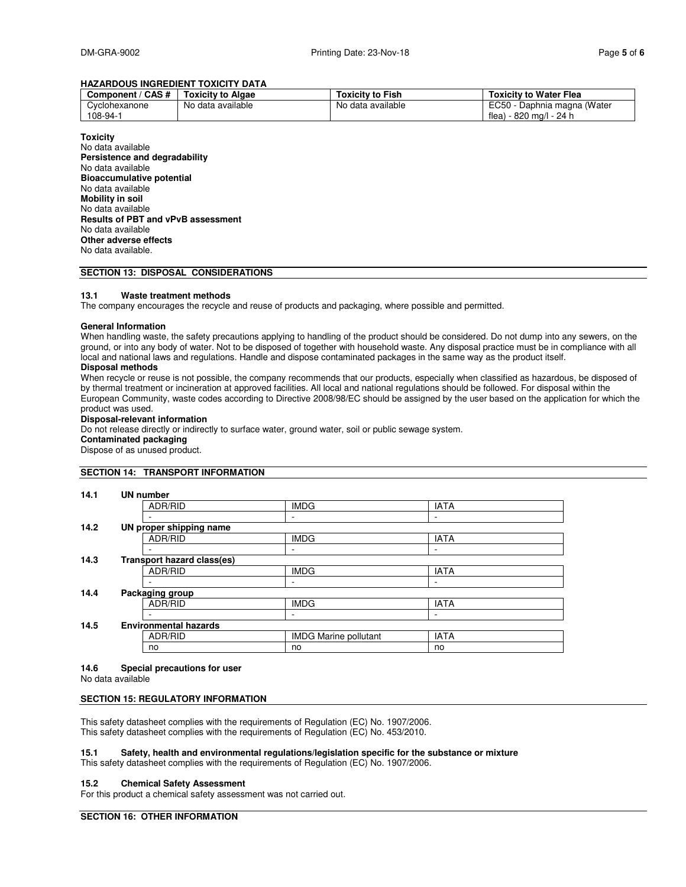### **HAZARDOUS INGREDIENT TOXICITY DATA**

| Component / CAS #         | <b>Toxicity to Algae</b> | Toxicitv to Fish  | <b>Toxicity to Water Flea</b>                             |
|---------------------------|--------------------------|-------------------|-----------------------------------------------------------|
| Cyclohexanone<br>108-94-1 | No data available        | No data available | EC50 - Daphnia magna (Water<br>- 820 ma/l - 24 h<br>flea) |

**Toxicity**  No data available **Persistence and degradability**  No data available **Bioaccumulative potential**  No data available **Mobility in soil**  No data available **Results of PBT and vPvB assessment**  No data available **Other adverse effects**  No data available.

### **SECTION 13: DISPOSAL CONSIDERATIONS**

### **13.1 Waste treatment methods**

The company encourages the recycle and reuse of products and packaging, where possible and permitted.

### **General Information**

When handling waste, the safety precautions applying to handling of the product should be considered. Do not dump into any sewers, on the ground, or into any body of water. Not to be disposed of together with household waste. Any disposal practice must be in compliance with all local and national laws and regulations. Handle and dispose contaminated packages in the same way as the product itself.

### **Disposal methods**

When recycle or reuse is not possible, the company recommends that our products, especially when classified as hazardous, be disposed of by thermal treatment or incineration at approved facilities. All local and national regulations should be followed. For disposal within the European Community, waste codes according to Directive 2008/98/EC should be assigned by the user based on the application for which the product was used.

### **Disposal-relevant information**

Do not release directly or indirectly to surface water, ground water, soil or public sewage system.

**Contaminated packaging** 

Dispose of as unused product.

### **SECTION 14: TRANSPORT INFORMATION**

| 14.1 | <b>UN number</b>             |                                   |             |  |  |  |  |
|------|------------------------------|-----------------------------------|-------------|--|--|--|--|
|      | ADR/RID                      | <b>IMDG</b>                       | <b>IATA</b> |  |  |  |  |
|      |                              |                                   |             |  |  |  |  |
| 14.2 | UN proper shipping name      |                                   |             |  |  |  |  |
|      | ADR/RID                      | <b>IMDG</b>                       | <b>IATA</b> |  |  |  |  |
|      |                              |                                   |             |  |  |  |  |
| 14.3 |                              | <b>Transport hazard class(es)</b> |             |  |  |  |  |
|      | ADR/RID                      | <b>IMDG</b>                       | <b>IATA</b> |  |  |  |  |
|      |                              |                                   |             |  |  |  |  |
| 14.4 | Packaging group              |                                   |             |  |  |  |  |
|      | ADR/RID                      | <b>IMDG</b>                       | <b>IATA</b> |  |  |  |  |
|      |                              |                                   | -           |  |  |  |  |
| 14.5 | <b>Environmental hazards</b> |                                   |             |  |  |  |  |
|      | ADR/RID                      | <b>IMDG Marine pollutant</b>      | <b>IATA</b> |  |  |  |  |
|      | no                           | no                                | no          |  |  |  |  |
|      |                              |                                   |             |  |  |  |  |

### **14.6 Special precautions for user**

No data available

### **SECTION 15: REGULATORY INFORMATION**

This safety datasheet complies with the requirements of Regulation (EC) No. 1907/2006. This safety datasheet complies with the requirements of Regulation (EC) No. 453/2010.

### **15.1 Safety, health and environmental regulations/legislation specific for the substance or mixture**

This safety datasheet complies with the requirements of Regulation (EC) No. 1907/2006.

### **15.2 Chemical Safety Assessment**

For this product a chemical safety assessment was not carried out.

### **SECTION 16: OTHER INFORMATION**